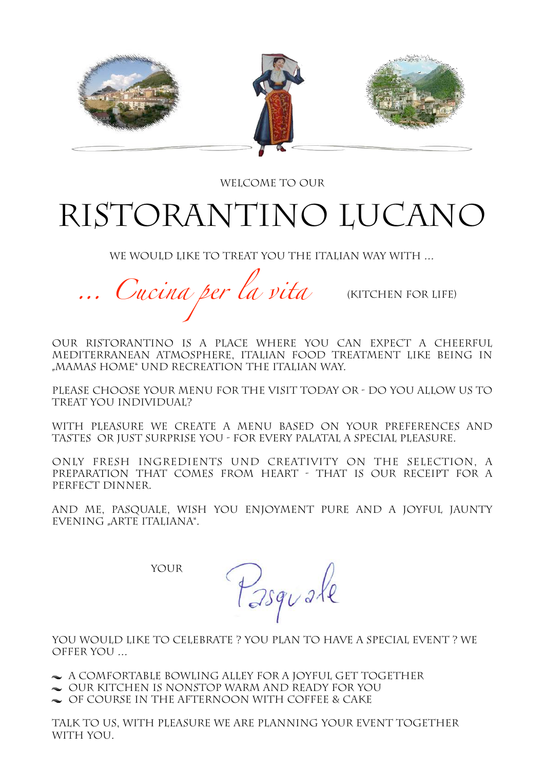

WELCOME TO OUR

# Ristorantino Lucano

WE WOULD LIKE TO TREAT YOU THE ITALIAN WAY WITH ...

*… Cucina per la vita* (kitchen for life)

Our Ristorantino is a place where you can expect a cheerful mediterranean Atmosphere, Italian food treatment like being in "Mamas home" und recreation the Italian way.

Please choose your menu for the visit today or - do you allow us to treat you individual?

With pleasure we create a menu based on your preferences and tastes or just surprise you - for every palatal a special pleasure.

Only fresh ingredients und creativity on the selection, a preparation that comes from heart - that is our receipt for a perfect dinner.

And me, Pasquale, wish you Enjoyment pure and A Joyful Jaunty Evening "arte italiana".

YOUR

Pasquale

YOU WOULD LIKE TO CELEBRATE ? YOU PLAN TO HAVE A SPECIAL EVENT ? WE offer you …

- $\sim$  A COMFORTABLE BOWLING ALLEY FOR A JOYFUL GET TOGETHER
- $\sim$  OUR KITCHEN IS NONSTOP WARM AND READY FOR YOU
- $\sim$  OF COURSE IN THE AFTERNOON WITH COFFEE & CAKE

Talk to us, with pleasure we are Planning your event together with you.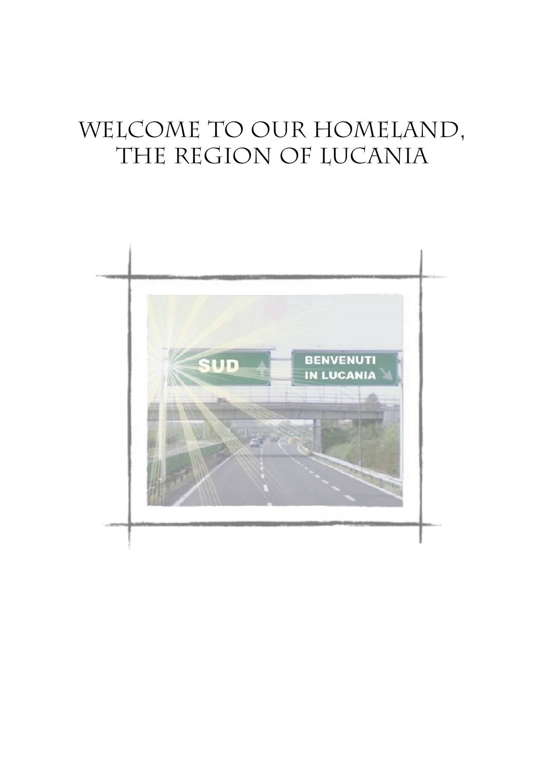## WELCOME TO OUR HOMELAND, THE REGION OF LUCANIA

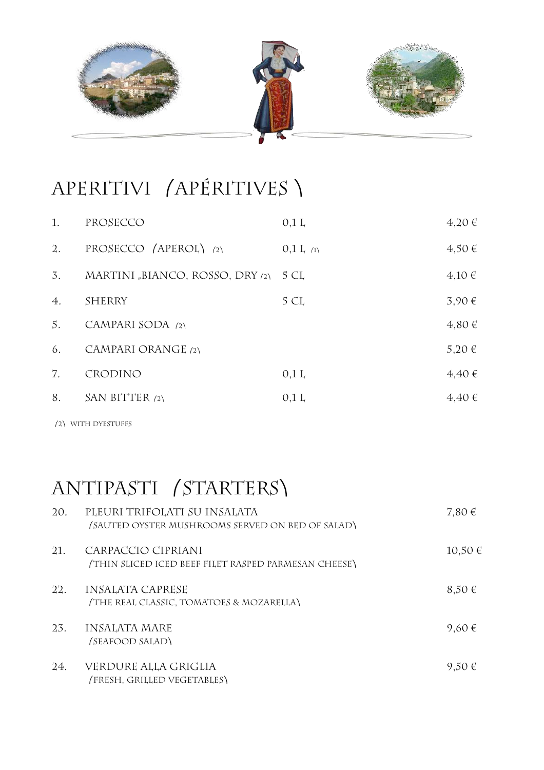

#### APERITIVI (APÉRITIVES)

| 1.               | PROSECCO                             | 0.1 L           | 4,20€      |
|------------------|--------------------------------------|-----------------|------------|
| $\overline{2}$ . | PROSECCO (APEROL) (2)                | $0,1$ $L_{(1)}$ | $4,50 \in$ |
| 3.               | MARTINI "BIANCO, ROSSO, DRY (2) 5 CL |                 | 4,10€      |
| 4.               | <b>SHERRY</b>                        | 5 CL            | 3,90€      |
| 5.               | CAMPARI SODA (2)                     |                 | $4,80 \in$ |
| 6.               | CAMPARI ORANGE (2)                   |                 | 5,20 €     |
| 7.               | <b>CRODINO</b>                       | $0,1$ L         | 4,40€      |
| 8.               | SAN BITTER $(2)$                     | 0.1 L           | $4.40 \in$ |
|                  |                                      |                 |            |

⎛2⎞ with dyestuffs

#### ANTIPASTI (STARTERS)

| 20. | PLEURI TRIFOLATI SU INSALATA<br>(SAUTED OYSTER MUSHROOMS SERVED ON BED OF SALAD) | 7,80 $\in$  |
|-----|----------------------------------------------------------------------------------|-------------|
| 21. | CARPACCIO CIPRIANI<br>(THIN SLICED ICED BEEF FILET RASPED PARMESAN CHEESE)       | $10,50 \in$ |
| 22. | <b>INSALATA CAPRESE</b><br>(THE REAL CLASSIC, TOMATOES & MOZARELLA)              | $8,50 \in$  |
| 23. | <b>INSALATA MARE</b><br>(SEAFOOD SALAD)                                          | 9,60 €      |
| 24. | VERDURE ALLA GRIGLIA<br>(FRESH, GRILLED VEGETABLES)                              | $9,50 \in$  |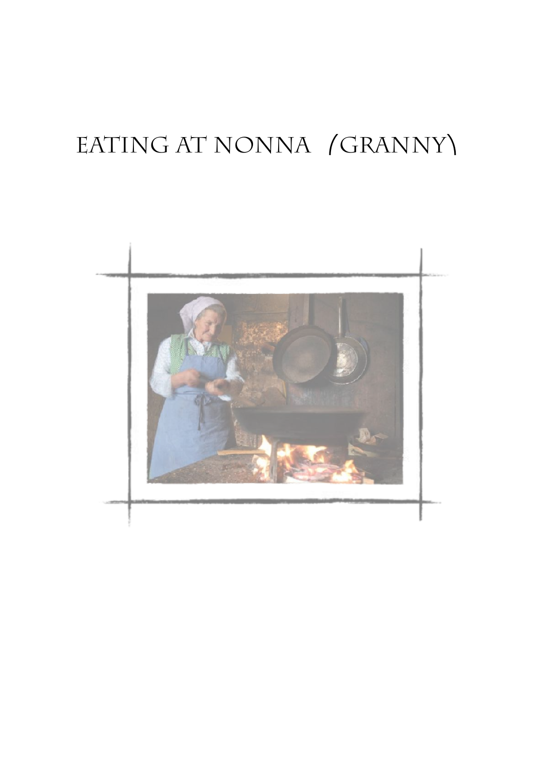# EATING AT NONNA (GRANNY)

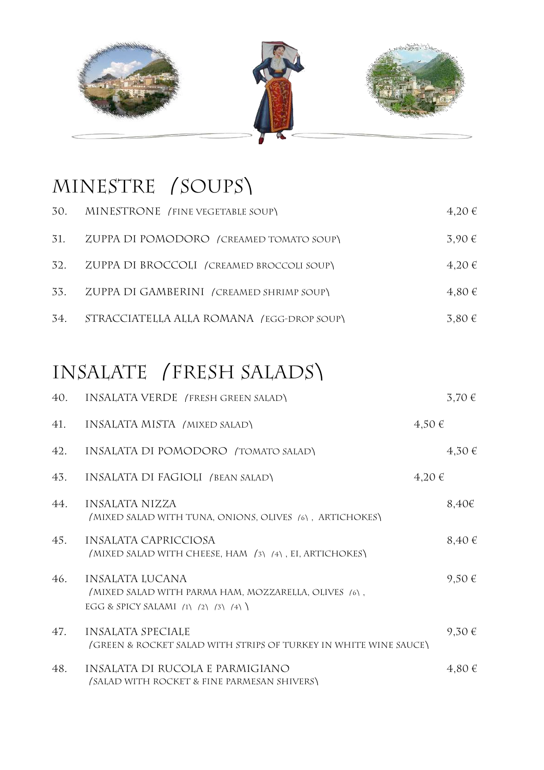

# MINESTRE (SOUPS)

| 30. | MINESTRONE (FINE VEGETABLE SOUP)                                                                                             | 4,20€      |
|-----|------------------------------------------------------------------------------------------------------------------------------|------------|
| 31. | ZUPPA DI POMODORO (CREAMED TOMATO SOUP)                                                                                      | 3,90 €     |
| 32. | ZUPPA DI BROCCOLI (CREAMED BROCCOLI SOUP)                                                                                    | 4,20€      |
| 33. | ZUPPA DI GAMBERINI (CREAMED SHRIMP SOUP)                                                                                     | 4,80 €     |
| 34. | STRACCIATELLA ALLA ROMANA (EGG-DROP SOUP)                                                                                    | 3,80 €     |
|     |                                                                                                                              |            |
|     | INSALATE (FRESH SALADS)                                                                                                      |            |
| 40. | INSALATA VERDE (FRESH GREEN SALAD)                                                                                           | $3,70 \in$ |
| 41. | INSALATA MISTA (MIXED SALAD)                                                                                                 | $4,50 \in$ |
| 42. | INSALATA DI POMODORO (TOMATO SALAD)                                                                                          | 4,30 €     |
| 43. | INSALATA DI FAGIOLI (BEAN SALAD)                                                                                             | 4,20€      |
| 44. | INSALATA NIZZA<br>(MIXED SALAD WITH TUNA, ONIONS, OLIVES (6), ARTICHOKES)                                                    | 8,40€      |
| 45. | INSALATA CAPRICCIOSA<br>(MIXED SALAD WITH CHEESE, HAM (3) (4), EI, ARTICHOKES)                                               | 8,40 €     |
| 46. | <b>INSALATA LUCANA</b><br>/MIXED SALAD WITH PARMA HAM, MOZZARELLA, OLIVES (6),<br>EGG & SPICY SALAMI $(1)$ $(2)$ $(3)$ $(4)$ | 9,50 €     |

| 47. | INSALATA SPECIALE<br>(GREEN & ROCKET SALAD WITH STRIPS OF TURKEY IN WHITE WINE SAUCE) | 9,30 € |
|-----|---------------------------------------------------------------------------------------|--------|
| 48. | INSALATA DI RUCOLA E PARMIGIANO<br>(SALAD WITH ROCKET & FINE PARMESAN SHIVERS)        | 4,80€  |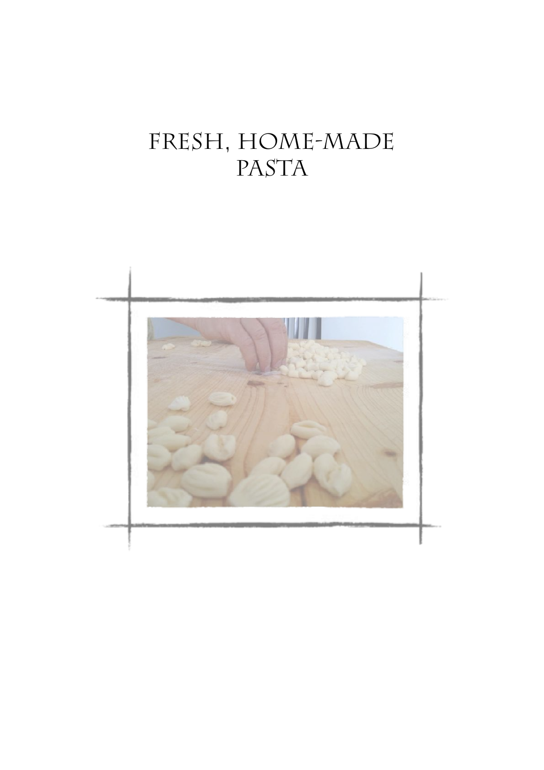# fresh, home-made PASTA

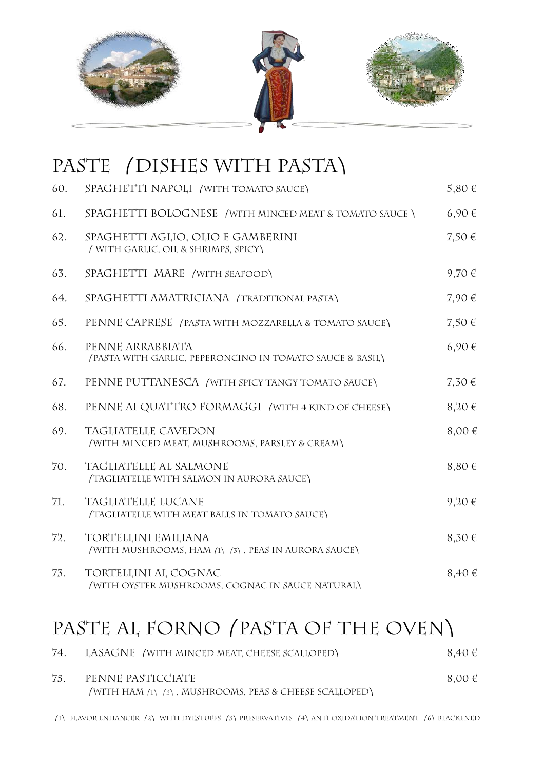

#### PASTE / DISHES WITH PASTA\

| 60. | SPAGHETTI NAPOLI (WITH TOMATO SAUCE)                                         | $5,80 \in$ |
|-----|------------------------------------------------------------------------------|------------|
| 61. | SPAGHETTI BOLOGNESE (WITH MINCED MEAT & TOMATO SAUCE)                        | 6,90€      |
| 62. | SPAGHETTI AGLIO, OLIO E GAMBERINI<br>(WITH GARLIC, OIL & SHRIMPS, SPICY)     | $7,50 \in$ |
| 63. | SPAGHETTI MARE (WITH SEAFOOD)                                                | 9,70 €     |
| 64. | SPAGHETTI AMATRICIANA (TRADITIONAL PASTA)                                    | 7,90 €     |
| 65. | PENNE CAPRESE (PASTA WITH MOZZARELLA & TOMATO SAUCE)                         | 7,50 €     |
| 66. | PENNE ARRABBIATA<br>(PASTA WITH GARLIC, PEPERONCINO IN TOMATO SAUCE & BASIL) | 6,90€      |
| 67. | PENNE PUTTANESCA / WITH SPICY TANGY TOMATO SAUCE)                            | $7,30 \in$ |
| 68. | PENNE AI QUATTRO FORMAGGI / WITH 4 KIND OF CHEESE)                           | $8,20 \in$ |
| 69. | TAGLIATELLE CAVEDON<br>(WITH MINCED MEAT, MUSHROOMS, PARSLEY & CREAM)        | 8,00 €     |
| 70. | TAGLIATELLE AL SALMONE<br>(TAGLIATELLE WITH SALMON IN AURORA SAUCE)          | 8,80 €     |
| 71. | TAGLIATELLE LUCANE<br>(TAGLIATELLE WITH MEAT BALLS IN TOMATO SAUCE)          | 9,20€      |
| 72. | TORTELLINI EMILIANA<br>(WITH MUSHROOMS, HAM (1) (3), PEAS IN AURORA SAUCE)   | $8,30 \in$ |
| 73. | TORTELLINI AL COGNAC<br>(WITH OYSTER MUSHROOMS, COGNAC IN SAUCE NATURAL)     | 8,40 €     |

#### PASTE AL FORNO (PASTA OF THE OVEN)

| 74. | LASAGNE (WITH MINCED MEAT, CHEESE SCALLOPED)           | 8,40€      |
|-----|--------------------------------------------------------|------------|
| 75. | PENNE PASTICCIATE                                      | $8,00 \in$ |
|     | (WITH HAM (1) (3), MUSHROOMS, PEAS & CHEESE SCALLOPED) |            |

⎛1⎞ flavor enhancer ⎛2⎞ with dyestuffs ⎛3⎞preservatives ⎛4⎞anti-oxidation treatment ⎛6⎞blackened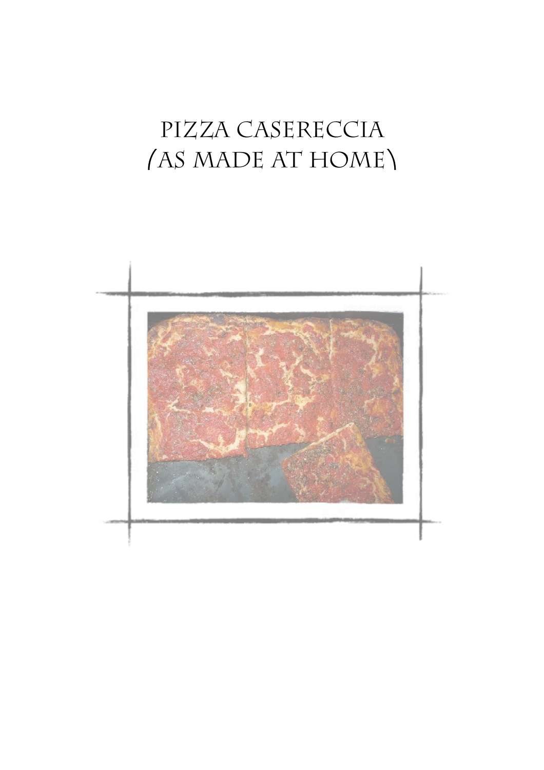# PIZZA CASERECCIA (AS MADE AT HOME)

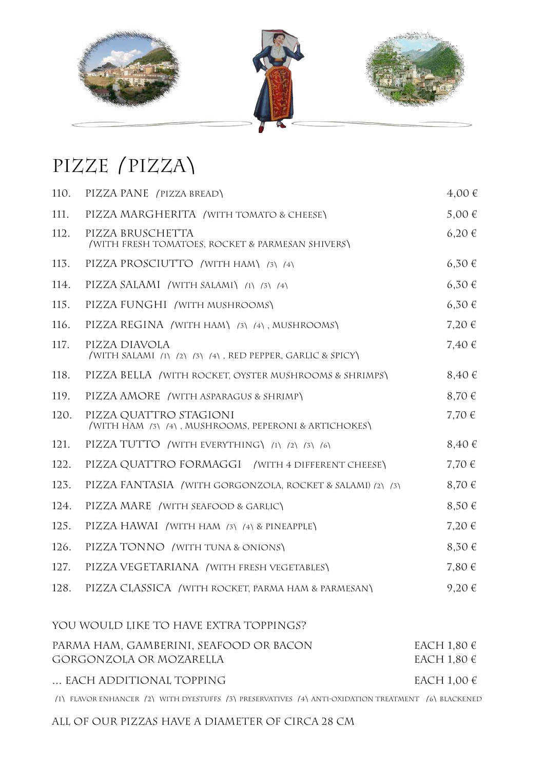

#### pIzze⎛pizza⎞

| 110. | PIZZA PANE (PIZZA BREAD)                                                       | 4,00 €     |
|------|--------------------------------------------------------------------------------|------------|
| 111. | PIZZA MARGHERITA (WITH TOMATO & CHEESE)                                        | $5,00 \in$ |
| 112. | PIZZA BRUSCHETTA<br>(WITH FRESH TOMATOES, ROCKET & PARMESAN SHIVERS)           | $6,20 \in$ |
| 113. | PIZZA PROSCIUTTO (WITH HAM) (3) (4)                                            | 6,30€      |
| 114. | PIZZA SALAMI (WITH SALAMI) (1) (3) (4)                                         | $6,30 \in$ |
| 115. | PIZZA FUNGHI (WITH MUSHROOMS)                                                  | $6,30 \in$ |
| 116. | PIZZA REGINA (WITH HAM) (3) (4), MUSHROOMS)                                    | 7,20€      |
| 117. | PIZZA DIAVOLA<br>(WITH SALAMI (1) (2) (3) (4), RED PEPPER, GARLIC & SPICY)     | 7,40 €     |
| 118. | PIZZA BELLA / WITH ROCKET, OYSTER MUSHROOMS & SHRIMPS\                         | $8,40 \in$ |
| 119. | PIZZA AMORE (WITH ASPARAGUS & SHRIMP)                                          | 8,70 €     |
| 120. | PIZZA QUATTRO STAGIONI<br>(WITH HAM (3) (4), MUSHROOMS, PEPERONI & ARTICHOKES) | 7,70 €     |
| 121. | PIZZA TUTTO / WITH EVERYTHING\ (1) (2) (3) (6)                                 | 8,40 €     |
| 122. | PIZZA QUATTRO FORMAGGI (WITH 4 DIFFERENT CHEESE)                               | 7,70 €     |
| 123. | PIZZA FANTASIA / WITH GORGONZOLA, ROCKET & SALAMI) (2) (3)                     | 8,70 €     |
| 124. | PIZZA MARE (WITH SEAFOOD & GARLIC)                                             | 8,50 €     |
| 125. | PIZZA HAWAI (WITH HAM (3) (4) & PINEAPPLE)                                     | 7,20€      |
| 126. | PIZZA TONNO / WITH TUNA & ONIONS)                                              | 8,30 €     |
| 127. | PIZZA VEGETARIANA (WITH FRESH VEGETABLES)                                      | 7,80 €     |
| 128. | PIZZA CLASSICA / WITH ROCKET, PARMA HAM & PARMESAN)                            | 9,20€      |
|      | YOU WOULD LIKE TO HAVE EXTRA TOPPINGS?                                         |            |
|      |                                                                                |            |

| PARMA HAM, GAMBERINI, SEAFOOD OR BACON | EACH 1,80 $\in$ |
|----------------------------------------|-----------------|
| GORGONZOLA OR MOZARELLA                | EACH 1,80 $\in$ |
| EACH ADDITIONAL TOPPING                | EACH 1,00 $\in$ |

⎛1⎞ flavor enhancer ⎛2⎞ with dyestuffs ⎛3⎞preservatives ⎛4⎞anti-oxidation treatment ⎛6⎞blackened

#### all of our Pizzas have a diameter of circa 28 cm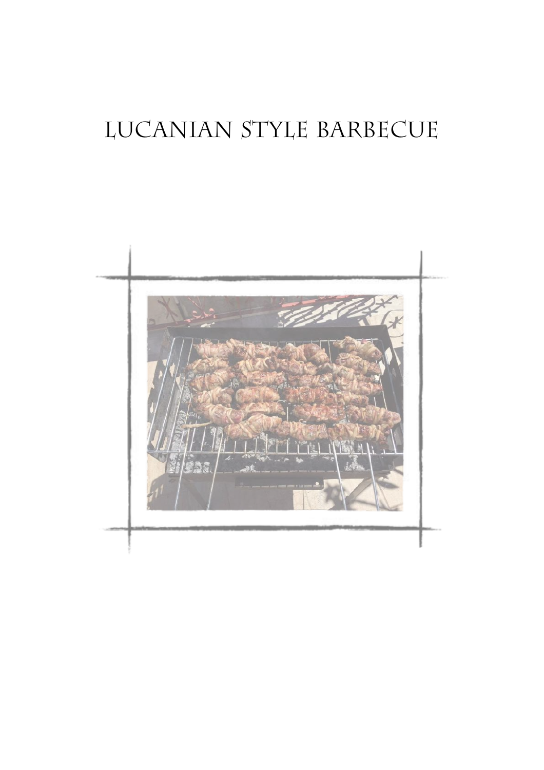# lucanian style barbecue

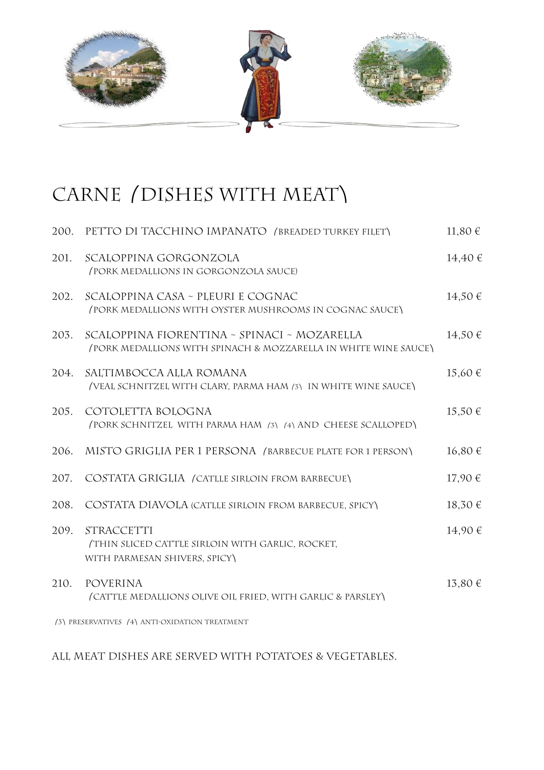

#### CARNE (DISHES WITH MEAT)

| 200. | PETTO DI TACCHINO IMPANATO (BREADED TURKEY FILET)                                                              | 11,80€      |
|------|----------------------------------------------------------------------------------------------------------------|-------------|
| 201. | SCALOPPINA GORGONZOLA<br>(PORK MEDALLIONS IN GORGONZOLA SAUCE)                                                 | 14,40€      |
| 202. | SCALOPPINA CASA ~ PLEURI E COGNAC<br>(PORK MEDALLIONS WITH OYSTER MUSHROOMS IN COGNAC SAUCE)                   | 14,50€      |
| 203. | SCALOPPINA FIORENTINA ~ SPINACI ~ MOZARELLA<br>(PORK MEDALLIONS WITH SPINACH & MOZZARELLA IN WHITE WINE SAUCE) | 14,50 €     |
| 204. | SALTIMBOCCA ALLA ROMANA<br>(VEAL SCHNITZEL WITH CLARY, PARMA HAM (3) IN WHITE WINE SAUCE)                      | $15,60 \in$ |
| 205. | COTOLETTA BOLOGNA<br>(PORK SCHNITZEL WITH PARMA HAM (3) (4) AND CHEESE SCALLOPED)                              | 15,50€      |
| 206. | MISTO GRIGLIA PER 1 PERSONA (BARBECUE PLATE FOR 1 PERSON)                                                      | 16,80€      |
| 207. | COSTATA GRIGLIA (CATLLE SIRLOIN FROM BARBECUE)                                                                 | 17,90 €     |
| 208. | COSTATA DIAVOLA (CATLLE SIRLOIN FROM BARBECUE, SPICY)                                                          | 18,30 €     |
| 209. | STRACCETTI<br>THIN SLICED CATTLE SIRLOIN WITH GARLIC, ROCKET,<br>WITH PARMESAN SHIVERS, SPICY)                 | 14,90 €     |
| 210. | <b>POVERINA</b><br>(CATTLE MEDALLIONS OLIVE OIL FRIED, WITH GARLIC & PARSLEY)                                  | 13,80€      |
|      | (3) PRESERVATIVES (4) ANTI-OXIDATION TREATMENT                                                                 |             |

All MeaT dishes are served with potatoes & Vegetables.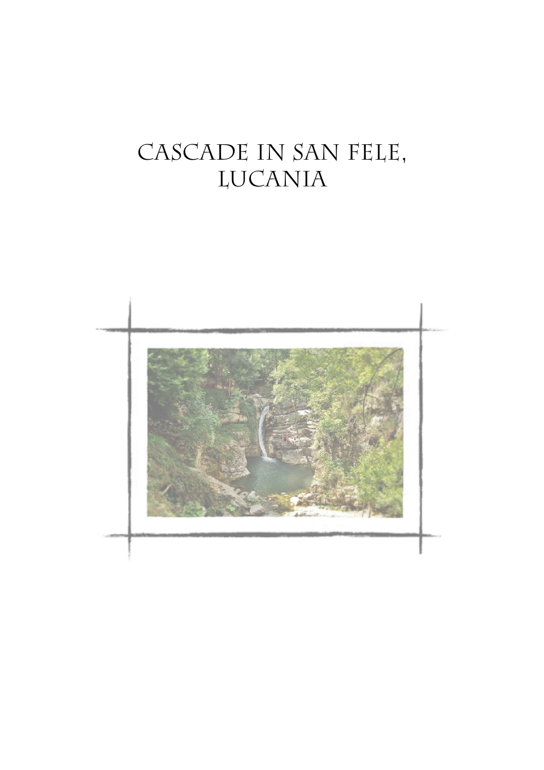# CASCADE IN SAN FELE, **LUCANIA**

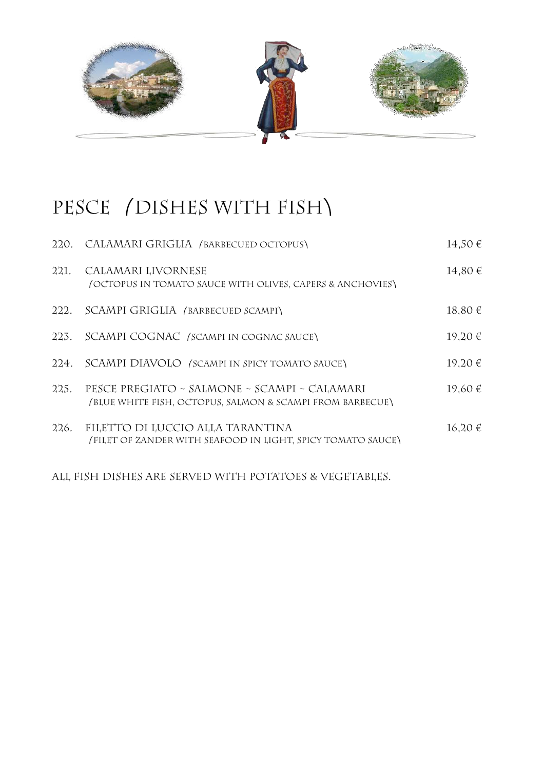

#### PESCE /DISHES WITH FISH\

| 220. | CALAMARI GRIGLIA (BARBECUED OCTOPUS)                                                                      | 14,50€      |
|------|-----------------------------------------------------------------------------------------------------------|-------------|
| 221. | CALAMARI LIVORNESE<br>(OCTOPUS IN TOMATO SAUCE WITH OLIVES, CAPERS & ANCHOVIES)                           | 14,80 €     |
| 222. | SCAMPI GRIGLIA (BARBECUED SCAMPI)                                                                         | 18,80 €     |
| 223. | SCAMPI COGNAC (SCAMPI IN COGNAC SAUCE)                                                                    | 19,20€      |
| 224. | SCAMPI DIAVOLO (SCAMPI IN SPICY TOMATO SAUCE)                                                             | 19,20 €     |
| 225. | PESCE PREGIATO ~ SALMONE ~ SCAMPI ~ CALAMARI<br>(BLUE WHITE FISH, OCTOPUS, SALMON & SCAMPI FROM BARBECUE) | 19,60 €     |
| 226. | FILETTO DI LUCCIO ALLA TARANTINA<br>(FILET OF ZANDER WITH SEAFOOD IN LIGHT, SPICY TOMATO SAUCE)           | $16,20 \in$ |
|      | ALL FISH DISHES ARE SERVED WITH POTATOES & VEGETABLES.                                                    |             |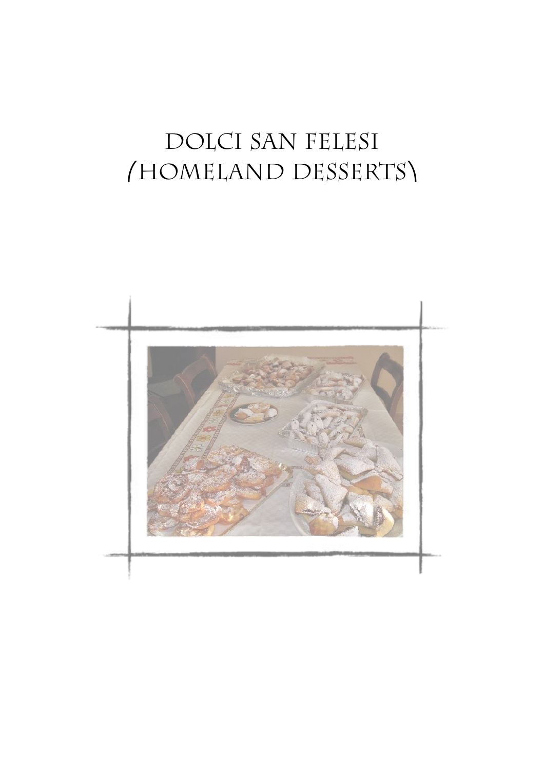# DOLCI SAN FELESI (HOMELAND DESSERTS)

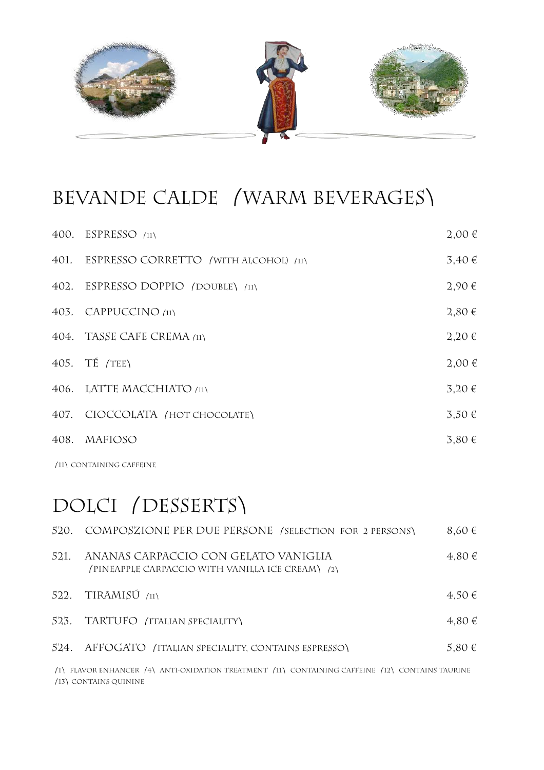

### BEVANDE CALDE / WARM BEVERAGES\

| 400. ESPRESSO $(11)$                       | $2,00 \in$ |
|--------------------------------------------|------------|
| 401. ESPRESSO CORRETTO (WITH ALCOHOL) (11) | $3,40 \in$ |
| 402. ESPRESSO DOPPIO (DOUBLE) (11)         | 2,90€      |
| 403. CAPPUCCINO (11)                       | $2,80 \in$ |
| 404. TASSE CAFE CREMA (11)                 | $2,20 \in$ |
| $405.$ TE $/TE$                            | $2,00 \in$ |
| 406. LATTE MACCHIATO (11)                  | $3,20 \in$ |
| 407. CIOCCOLATA /HOT CHOCOLATE)            | $3.50 \in$ |
| 408. MAFIOSO                               | 3,80€      |
|                                            |            |

⎛11⎞containing caffeine

#### DOLCI (DESSERTS)

| 520. | COMPOSZIONE PER DUE PERSONE (SELECTION FOR 2 PERSONS)                                           | $8,60 \in$ |
|------|-------------------------------------------------------------------------------------------------|------------|
| 521. | ANANAS CARPACCIO CON GELATO VANIGLIA<br>(PINEAPPLE CARPACCIO WITH VANILLA ICE CREAM) (2)        | 4,80€      |
| 522. | $TIRAMISÚ$ (11)                                                                                 | $4.50 \in$ |
| 523. | TARTUFO (ITALIAN SPECIALITY)                                                                    | $4,80 \in$ |
| 524. | AFFOGATO (ITALIAN SPECIALITY, CONTAINS ESPRESSO)                                                | 5,80 $\in$ |
|      | (1) FLAVOR ENHANCER (4) ANTI-OXIDATION TREATMENT (11) CONTAINING CAFFEINE (12) CONTAINS TAURINE |            |

⎛13⎞contains quinine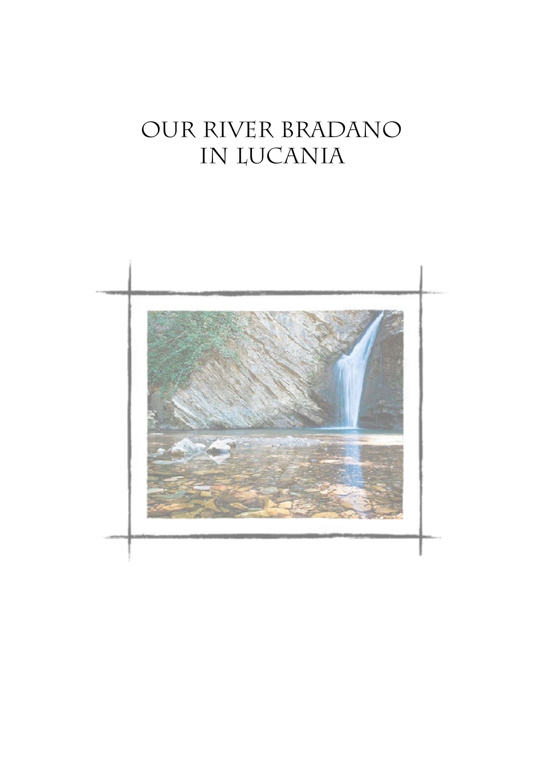## OUR RIVER BRADANO IN LUCANIA

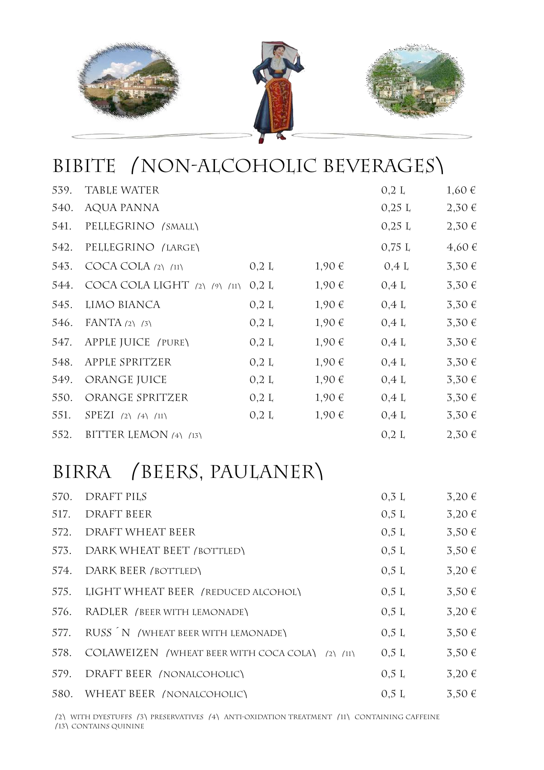

#### BIBITE /NON-ALCOHOLIC BEVERAGES\

| 539. | <b>TABLE WATER</b>                         |         |       | 0,2 L    | 1,60€      |
|------|--------------------------------------------|---------|-------|----------|------------|
| 540. | AQUA PANNA                                 |         |       | $0,25$ L | $2,30 \in$ |
| 541. | PELLEGRINO (SMALL)                         |         |       | $0,25$ L | 2,30€      |
| 542. | PELLEGRINO (LARGE)                         |         |       | 0.75L    | 4,60€      |
| 543. | COCA COLA $(2)$ $(11)$                     | 0,2 L   | 1,90€ | 0.4 L    | 3,30€      |
| 544. | COCA COLA LIGHT $(2)$ $(9)$ $(11)$ $0,2$ L |         | 1,90€ | 0.4 L    | 3,30€      |
| 545. | LIMO BIANCA                                | $0,2$ L | 1,90€ | 0.4 L    | $3,30 \in$ |
| 546. | FANTA $(2)$ $(3)$                          | 0,2 L   | 1,90€ | 0.4 L    | 3,30€      |
| 547. | APPLE JUICE (PURE)                         | $0,2$ L | 1,90€ | 0.4 L    | 3,30€      |
| 548. | APPLE SPRITZER                             | 0,2 L   | 1,90€ | 0.4 L    | $3,30 \in$ |
| 549. | ORANGE JUICE                               | 0,2 L   | 1,90€ | 0.4 L    | 3,30€      |
| 550. | ORANGE SPRITZER                            | 0,2 L   | 1,90€ | 0.4 L    | 3,30€      |
| 551. | SPEZI (2) (4) (11)                         | 0,2 L   | 1,90€ | 0.4 L    | 3,30€      |
| 552. | BITTER LEMON $(4)$ $(13)$                  |         |       | 0,2 L    | $2,50 \in$ |

#### BIRRA (BEERS, PAULANER)

| 570. | DRAFT PILS                                           | $0,3$ L | 3,20€      |
|------|------------------------------------------------------|---------|------------|
| 517. | DRAFT BEER                                           | 0.5 L   | $3,20 \in$ |
| 572. | DRAFT WHEAT BEER                                     | 0.5 L   | $3,50 \in$ |
| 573. | DARK WHEAT BEET (BOTTLED)                            | 0.5 L   | $3,50 \in$ |
| 574. | DARK BEER <i>(</i> bottled)                          | 0.5 L   | $3,20 \in$ |
| 575. | LIGHT WHEAT BEER (REDUCED ALCOHOL)                   | 0.5 L   | $3,50 \in$ |
| 576. | RADLER (BEER WITH LEMONADE)                          | 0.5 L   | $3,20 \in$ |
| 577. | RUSS N (WHEAT BEER WITH LEMONADE)                    | 0.5 L   | $3,50 \in$ |
| 578. | COLAWEIZEN / WHEAT BEER WITH COCA COLA) $(2)$ $(11)$ | 0.5 L   | $3.50 \in$ |
| 579. | DRAFT BEER (NONALCOHOLIC)                            | 0.5 L   | $3,20 \in$ |
|      | 580. WHEAT BEER / NONALCOHOLIC)                      | 0.5L    | $3.50 \in$ |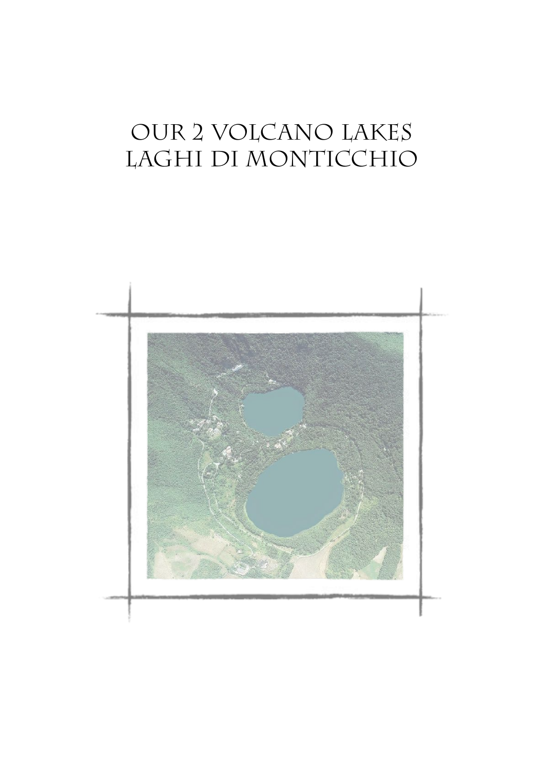# our 2 volcano lakes LAGHI DI MONTICCHIO

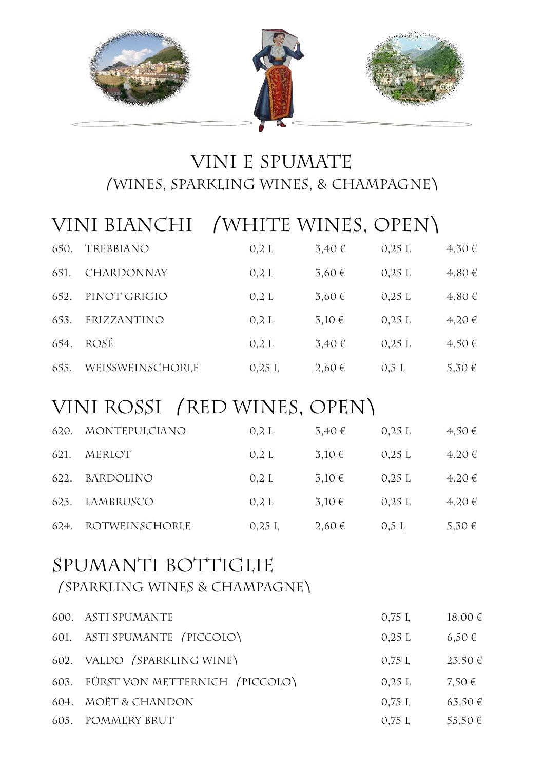

#### vini e spumate ⎛wines, sparkling wines, & champagne⎞

#### VINI BIANCHI /WHITE WINES, OPEN)

| 650. | TREBBIANO         | 0,2 L | 3,40€ | $0,25 \;L$ | 4,30€      |
|------|-------------------|-------|-------|------------|------------|
| 651. | <b>CHARDONNAY</b> | 0,2 L | 3,60€ | 0.25L      | $4,80 \in$ |
| 652. | PINOT GRIGIO      | 0.2 L | 3,60€ | 0.25L      | $4,80 \in$ |
| 653. | FRIZZANTINO       | 0.2 L | 3,10€ | 0.25L      | 4,20€      |
| 654. | ROSÉ              | 0,2 L | 3,40€ | 0.25L      | $4,50 \in$ |
| 655. | WEISSWEINSCHORLE  | 0.25L | 2,60€ | 0.5 L      | 5,30 €     |

#### VINI ROSSI (RED WINES, OPEN)

| 620. | MONTEPULCIANO  | 0.2 L | 3,40€      | $0,25 \;L$ | $4,50 \in$ |
|------|----------------|-------|------------|------------|------------|
| 621. | MERLOT         | 0,2 L | $3,10 \in$ | 0.25L      | 4,20€      |
| 622. | BARDOLINO      | 0,2 L | $3,10 \in$ | 0.25L      | 4,20€      |
| 623. | LAMBRUSCO      | 0,2 L | $3,10 \in$ | 0.25L      | 4,20€      |
| 624. | ROTWEINSCHORLE | 0.25L | 2,60€      | 0.5L       | 5,30 €     |

#### SPUMANTI BOTTIGLIE ⎛Sparkling wines & champagne⎞

| 600. ASTI SPUMANTE                  | 0.75 L | $18,00 \in$ |
|-------------------------------------|--------|-------------|
| 601. ASTI SPUMANTE (PICCOLO)        | 0.25L  | $6,50 \in$  |
| 602. VALDO (SPARKLING WINE)         | 0.75 L | $23,50 \in$ |
| 603. FÜRST VON METTERNICH /PICCOLO\ | 0.25L  | $7.50 \in$  |
| 604. MOËT & CHANDON                 | 0.75 L | 63,50 €     |
| 605. POMMERY BRUT                   | 0.75 L | 55,50 $\in$ |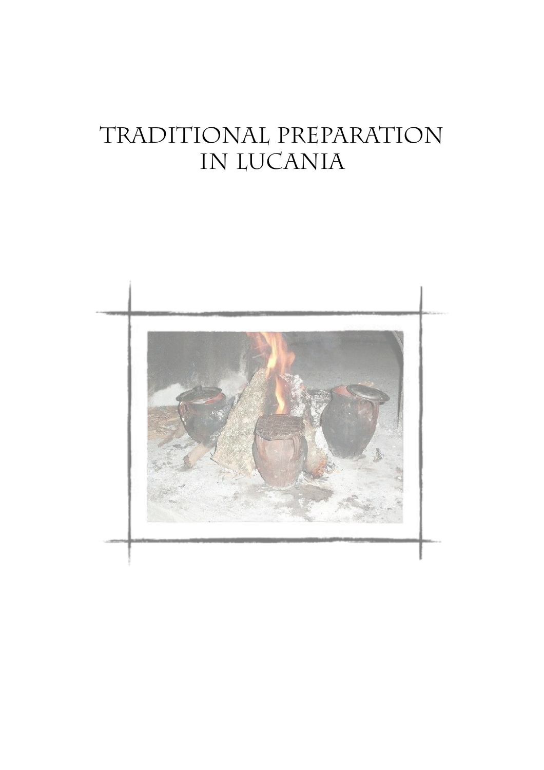# traditional preparation in Lucania

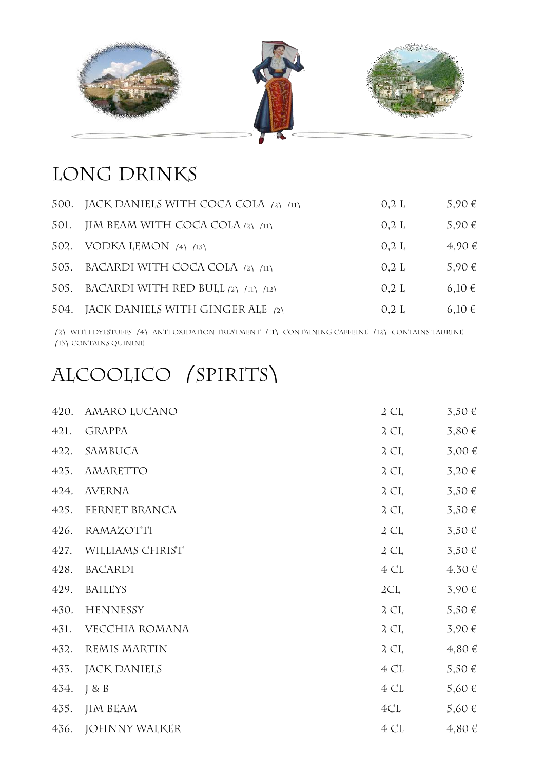

#### LONG DRINKS

| 500. JACK DANIELS WITH COCA COLA (2) (11) | 0.2 L | $5,90 \in$ |
|-------------------------------------------|-------|------------|
| 501. JIM BEAM WITH COCA COLA (2) (11)     | 0.2 L | $5,90 \in$ |
| 502. VODKA LEMON (4) (13)                 | 0.2 L | 4,90 €     |
| 503. BACARDI WITH COCA COLA (2) (11)      | 0.2 L | 5,90 €     |
| 505. BACARDI WITH RED BULL (2) (11) (12)  | 0.2 L | $6,10 \in$ |
| 504. JACK DANIELS WITH GINGER ALE (2)     | 0.2 L | $6,10 \in$ |

⎛2⎞ with dyestuffs ⎛4⎞ anti-oxidation treatment ⎛11⎞ containing caffeine ⎛12⎞ contains taurine ⎛13⎞contains quinine

#### ALCOOLICO (SPIRITS)

| 420. | AMARO LUCANO         | $2 \; \text{CL}$ | $3,50 \in$ |
|------|----------------------|------------------|------------|
| 421. | <b>GRAPPA</b>        | 2 CL             | 3,80€      |
| 422. | SAMBUCA              | 2 CL             | 3,00€      |
| 423. | <b>AMARETTO</b>      | 2 CL             | 3,20€      |
| 424. | <b>AVERNA</b>        | $2 \; \text{CL}$ | 3,50€      |
| 425. | FERNET BRANCA        | $2 \, \text{CL}$ | $3,50 \in$ |
| 426. | <b>RAMAZOTTI</b>     | 2 CL             | $3,50 \in$ |
| 427. | WILLIAMS CHRIST      | 2 CL             | $3,50 \in$ |
| 428. | BACARDI              | 4 CL             | 4,30€      |
| 429. | <b>BAILEYS</b>       | 2CL              | 3,90€      |
| 430. | <b>HENNESSY</b>      | $2 \; \text{CL}$ | $5,50 \in$ |
| 431. | VECCHIA ROMANA       | $2 \, \text{CL}$ | 3,90€      |
| 432. | REMIS MARTIN         | 2 CL             | $4,80 \in$ |
| 433. | JACK DANIELS         | 4 CL             | $5,50 \in$ |
| 434. | J & B                | 4 CL             | 5,60 €     |
| 435. | <b>JIM BEAM</b>      | 4CL              | 5,60 €     |
| 436. | <b>JOHNNY WALKER</b> | 4 CL             | 4,80€      |
|      |                      |                  |            |